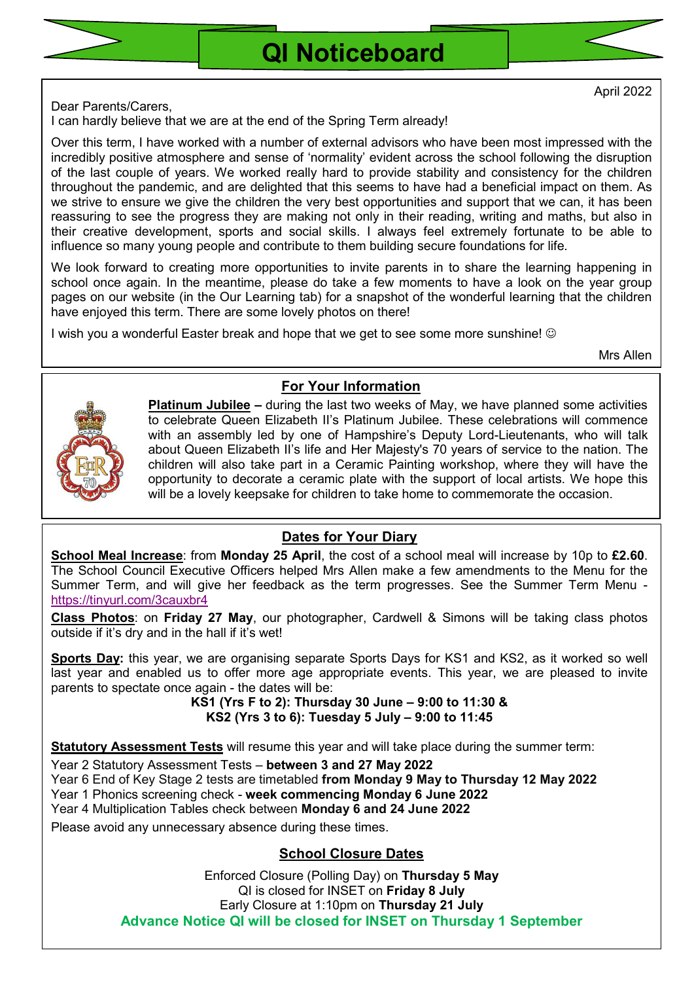

April 2022

Dear Parents/Carers,

I can hardly believe that we are at the end of the Spring Term already!

Over this term, I have worked with a number of external advisors who have been most impressed with the incredibly positive atmosphere and sense of 'normality' evident across the school following the disruption of the last couple of years. We worked really hard to provide stability and consistency for the children throughout the pandemic, and are delighted that this seems to have had a beneficial impact on them. As we strive to ensure we give the children the very best opportunities and support that we can, it has been reassuring to see the progress they are making not only in their reading, writing and maths, but also in their creative development, sports and social skills. I always feel extremely fortunate to be able to influence so many young people and contribute to them building secure foundations for life.

We look forward to creating more opportunities to invite parents in to share the learning happening in school once again. In the meantime, please do take a few moments to have a look on the year group pages on our website (in the Our Learning tab) for a snapshot of the wonderful learning that the children have enjoyed this term. There are some lovely photos on there!

For Your Information

I wish you a wonderful Easter break and hope that we get to see some more sunshine! ©

Mrs Allen



Platinum Jubilee - during the last two weeks of May, we have planned some activities to celebrate Queen Elizabeth II's Platinum Jubilee. These celebrations will commence with an assembly led by one of Hampshire's Deputy Lord-Lieutenants, who will talk about Queen Elizabeth II's life and Her Majesty's 70 years of service to the nation. The children will also take part in a Ceramic Painting workshop, where they will have the opportunity to decorate a ceramic plate with the support of local artists. We hope this will be a lovely keepsake for children to take home to commemorate the occasion.

# Dates for Your Diary

School Meal Increase: from Monday 25 April, the cost of a school meal will increase by 10p to £2.60. The School Council Executive Officers helped Mrs Allen make a few amendments to the Menu for the Summer Term, and will give her feedback as the term progresses. See the Summer Term Menu https://tinyurl.com/3cauxbr4

Class Photos: on Friday 27 May, our photographer, Cardwell & Simons will be taking class photos outside if it's dry and in the hall if it's wet!

Sports Day: this year, we are organising separate Sports Days for KS1 and KS2, as it worked so well last year and enabled us to offer more age appropriate events. This year, we are pleased to invite parents to spectate once again - the dates will be:

KS1 (Yrs F to 2): Thursday 30 June – 9:00 to 11:30 & KS2 (Yrs 3 to 6): Tuesday 5 July – 9:00 to 11:45

Statutory Assessment Tests will resume this year and will take place during the summer term:

Year 2 Statutory Assessment Tests – between 3 and 27 May 2022

Year 6 End of Key Stage 2 tests are timetabled from Monday 9 May to Thursday 12 May 2022

Year 1 Phonics screening check - week commencing Monday 6 June 2022

Year 4 Multiplication Tables check between Monday 6 and 24 June 2022

Please avoid any unnecessary absence during these times.

School Closure Dates

Enforced Closure (Polling Day) on Thursday 5 May QI is closed for INSET on Friday 8 July Early Closure at 1:10pm on Thursday 21 July Advance Notice QI will be closed for INSET on Thursday 1 September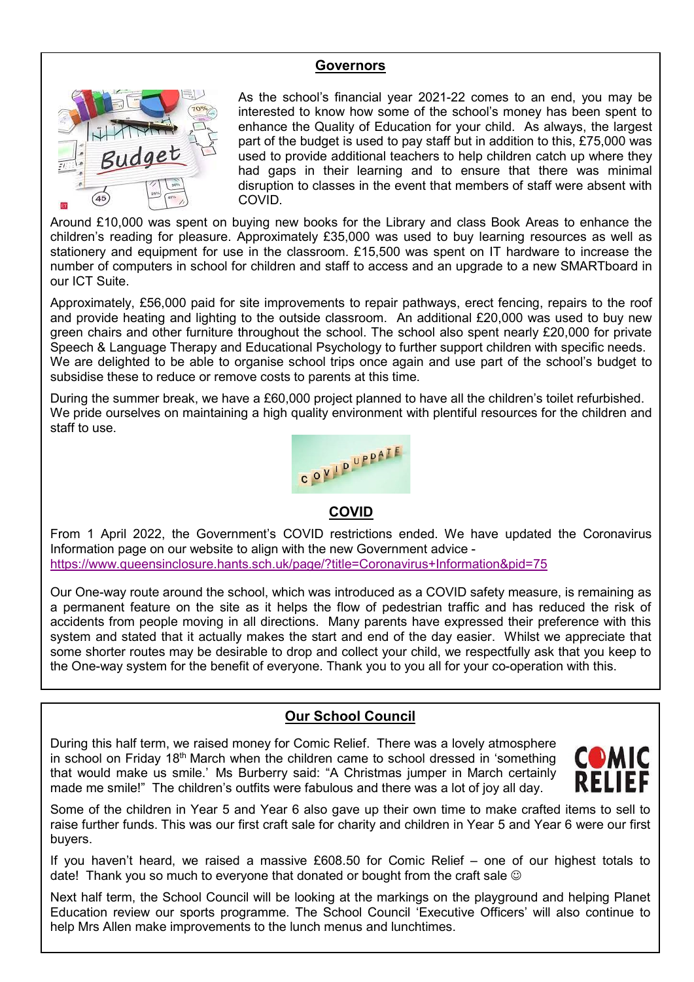### **Governors**



As the school's financial year 2021-22 comes to an end, you may be interested to know how some of the school's money has been spent to enhance the Quality of Education for your child. As always, the largest part of the budget is used to pay staff but in addition to this, £75,000 was used to provide additional teachers to help children catch up where they had gaps in their learning and to ensure that there was minimal disruption to classes in the event that members of staff were absent with COVID.

Around £10,000 was spent on buying new books for the Library and class Book Areas to enhance the children's reading for pleasure. Approximately £35,000 was used to buy learning resources as well as stationery and equipment for use in the classroom. £15,500 was spent on IT hardware to increase the number of computers in school for children and staff to access and an upgrade to a new SMARTboard in our ICT Suite.

Approximately, £56,000 paid for site improvements to repair pathways, erect fencing, repairs to the roof and provide heating and lighting to the outside classroom. An additional £20,000 was used to buy new green chairs and other furniture throughout the school. The school also spent nearly £20,000 for private Speech & Language Therapy and Educational Psychology to further support children with specific needs. We are delighted to be able to organise school trips once again and use part of the school's budget to subsidise these to reduce or remove costs to parents at this time.

During the summer break, we have a £60,000 project planned to have all the children's toilet refurbished. We pride ourselves on maintaining a high quality environment with plentiful resources for the children and staff to use.



### COVID

From 1 April 2022, the Government's COVID restrictions ended. We have updated the Coronavirus Information page on our website to align with the new Government advice https://www.queensinclosure.hants.sch.uk/page/?title=Coronavirus+Information&pid=75

Our One-way route around the school, which was introduced as a COVID safety measure, is remaining as a permanent feature on the site as it helps the flow of pedestrian traffic and has reduced the risk of accidents from people moving in all directions. Many parents have expressed their preference with this system and stated that it actually makes the start and end of the day easier. Whilst we appreciate that some shorter routes may be desirable to drop and collect your child, we respectfully ask that you keep to the One-way system for the benefit of everyone. Thank you to you all for your co-operation with this.

# Our School Council

During this half term, we raised money for Comic Relief. There was a lovely atmosphere in school on Friday 18<sup>th</sup> March when the children came to school dressed in 'something that would make us smile.' Ms Burberry said: "A Christmas jumper in March certainly made me smile!" The children's outfits were fabulous and there was a lot of joy all day.



Some of the children in Year 5 and Year 6 also gave up their own time to make crafted items to sell to raise further funds. This was our first craft sale for charity and children in Year 5 and Year 6 were our first buyers.

If you haven't heard, we raised a massive £608.50 for Comic Relief – one of our highest totals to date! Thank you so much to everyone that donated or bought from the craft sale  $\circledcirc$ 

Next half term, the School Council will be looking at the markings on the playground and helping Planet Education review our sports programme. The School Council 'Executive Officers' will also continue to help Mrs Allen make improvements to the lunch menus and lunchtimes.